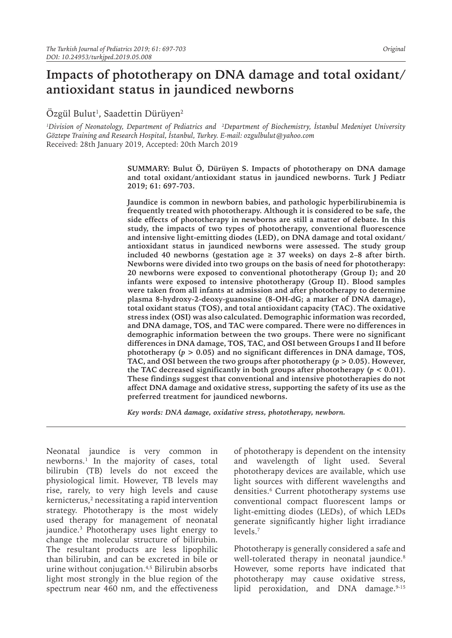# **Impacts of phototherapy on DNA damage and total oxidant/ antioxidant status in jaundiced newborns**

# Ozgül Bulut $^{\rm l}$ , Saadettin Dürüyen $^{\rm 2}$

*1 Division of Neonatology, Department of Pediatrics and <sup>2</sup> Department of Biochemistry, İstanbul Medeniyet University Göztepe Training and Research Hospital, İstanbul, Turkey. E-mail: ozgulbulut@yahoo.com* Received: 28th January 2019, Accepted: 20th March 2019

> **SUMMARY: Bulut Ö, Dürüyen S. Impacts of phototherapy on DNA damage and total oxidant/antioxidant status in jaundiced newborns. Turk J Pediatr 2019; 61: 697-703.**

> **Jaundice is common in newborn babies, and pathologic hyperbilirubinemia is frequently treated with phototherapy. Although it is considered to be safe, the side effects of phototherapy in newborns are still a matter of debate. In this study, the impacts of two types of phototherapy, conventional fluorescence and intensive light-emitting diodes (LED), on DNA damage and total oxidant/ antioxidant status in jaundiced newborns were assessed. The study group**  included 40 newborns (gestation age  $\geq$  37 weeks) on days 2–8 after birth. **Newborns were divided into two groups on the basis of need for phototherapy: 20 newborns were exposed to conventional phototherapy (Group I); and 20 infants were exposed to intensive phototherapy (Group II). Blood samples were taken from all infants at admission and after phototherapy to determine plasma 8-hydroxy-2-deoxy-guanosine (8-OH-dG; a marker of DNA damage), total oxidant status (TOS), and total antioxidant capacity (TAC). The oxidative stress index (OSI) was also calculated. Demographic information was recorded, and DNA damage, TOS, and TAC were compared. There were no differences in demographic information between the two groups. There were no significant differences in DNA damage, TOS, TAC, and OSI between Groups I and II before**  phototherapy ( $p > 0.05$ ) and no significant differences in DNA damage, TOS, TAC, and OSI between the two groups after phototherapy ( $p > 0.05$ ). However, the TAC decreased significantly in both groups after phototherapy  $(p < 0.01)$ . **These findings suggest that conventional and intensive phototherapies do not affect DNA damage and oxidative stress, supporting the safety of its use as the preferred treatment for jaundiced newborns.**

*Key words: DNA damage, oxidative stress, phototherapy, newborn.*

Neonatal jaundice is very common in newborns.1 In the majority of cases, total bilirubin (TB) levels do not exceed the physiological limit. However, TB levels may rise, rarely, to very high levels and cause  $\,$  kernicterus, $\,$ <sup>2</sup> necessitating a rapid intervention strategy. Phototherapy is the most widely used therapy for management of neonatal jaundice.3 Phototherapy uses light energy to change the molecular structure of bilirubin. The resultant products are less lipophilic than bilirubin, and can be excreted in bile or urine without conjugation.4,5 Bilirubin absorbs light most strongly in the blue region of the spectrum near 460 nm, and the effectiveness

of phototherapy is dependent on the intensity and wavelength of light used. Several phototherapy devices are available, which use light sources with different wavelengths and densities.6 Current phototherapy systems use conventional compact fluorescent lamps or light-emitting diodes (LEDs), of which LEDs generate significantly higher light irradiance levels.7

Phototherapy is generally considered a safe and well-tolerated therapy in neonatal jaundice.<sup>8</sup> However, some reports have indicated that phototherapy may cause oxidative stress, lipid peroxidation, and DNA damage.<sup>9-15</sup>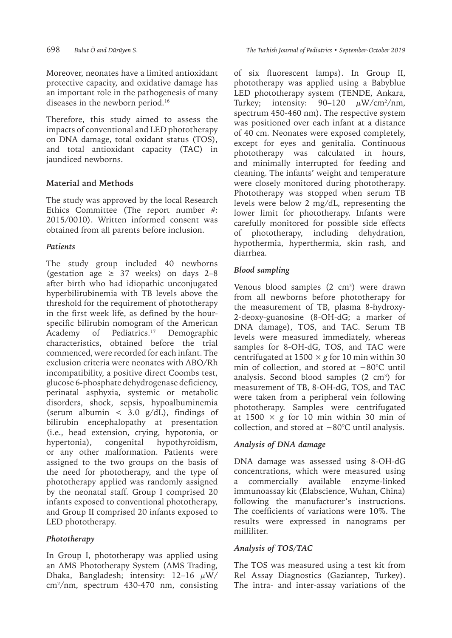Moreover, neonates have a limited antioxidant protective capacity, and oxidative damage has an important role in the pathogenesis of many diseases in the newborn period.16

Therefore, this study aimed to assess the impacts of conventional and LED phototherapy on DNA damage, total oxidant status (TOS), and total antioxidant capacity (TAC) in jaundiced newborns.

# **Material and Methods**

The study was approved by the local Research Ethics Committee (The report number #: 2015/0010). Written informed consent was obtained from all parents before inclusion.

## *Patients*

The study group included 40 newborns (gestation age  $\geq$  37 weeks) on days 2–8 after birth who had idiopathic unconjugated hyperbilirubinemia with TB levels above the threshold for the requirement of phototherapy in the first week life, as defined by the hourspecific bilirubin nomogram of the American Academy of Pediatrics.<sup>17</sup> Demographic characteristics, obtained before the trial commenced, were recorded for each infant. The exclusion criteria were neonates with ABO/Rh incompatibility, a positive direct Coombs test, glucose 6-phosphate dehydrogenase deficiency, perinatal asphyxia, systemic or metabolic disorders, shock, sepsis, hypoalbuminemia (serum albumin  $<$  3.0 g/dL), findings of bilirubin encephalopathy at presentation (i.e., head extension, crying, hypotonia, or hypertonia), congenital hypothyroidism, or any other malformation. Patients were assigned to the two groups on the basis of the need for phototherapy, and the type of phototherapy applied was randomly assigned by the neonatal staff. Group I comprised 20 infants exposed to conventional phototherapy, and Group II comprised 20 infants exposed to LED phototherapy.

# *Phototherapy*

In Group I, phototherapy was applied using an AMS Phototherapy System (AMS Trading, Dhaka, Bangladesh; intensity:  $12-16 \mu W$ / cm2 /nm, spectrum 430-470 nm, consisting of six fluorescent lamps). In Group II, phototherapy was applied using a Babyblue LED phototherapy system (TENDE, Ankara, Turkey; intensity:  $90-120$   $\mu$ W/cm<sup>2</sup>/nm, spectrum 450-460 nm). The respective system was positioned over each infant at a distance of 40 cm. Neonates were exposed completely, except for eyes and genitalia. Continuous phototherapy was calculated in hours, and minimally interrupted for feeding and cleaning. The infants' weight and temperature were closely monitored during phototherapy. Phototherapy was stopped when serum TB levels were below 2 mg/dL, representing the lower limit for phototherapy. Infants were carefully monitored for possible side effects of phototherapy, including dehydration, hypothermia, hyperthermia, skin rash, and diarrhea.

# *Blood sampling*

Venous blood samples  $(2 \text{ cm}^3)$  were drawn from all newborns before phototherapy for the measurement of TB, plasma 8-hydroxy-2-deoxy-guanosine (8-OH-dG; a marker of DNA damage), TOS, and TAC. Serum TB levels were measured immediately, whereas samples for 8-OH-dG, TOS, and TAC were centrifugated at  $1500 \times g$  for 10 min within 30 min of collection, and stored at −80°C until analysis. Second blood samples  $(2 \text{ cm}^3)$  for measurement of TB, 8-OH-dG, TOS, and TAC were taken from a peripheral vein following phototherapy. Samples were centrifugated at  $1500 \times g$  for 10 min within 30 min of collection, and stored at −80°C until analysis.

## *Analysis of DNA damage*

DNA damage was assessed using 8-OH-dG concentrations, which were measured using a commercially available enzyme-linked immunoassay kit (Elabscience, Wuhan, China) following the manufacturer's instructions. The coefficients of variations were 10%. The results were expressed in nanograms per milliliter.

## *Analysis of TOS/TAC*

The TOS was measured using a test kit from Rel Assay Diagnostics (Gaziantep, Turkey). The intra- and inter-assay variations of the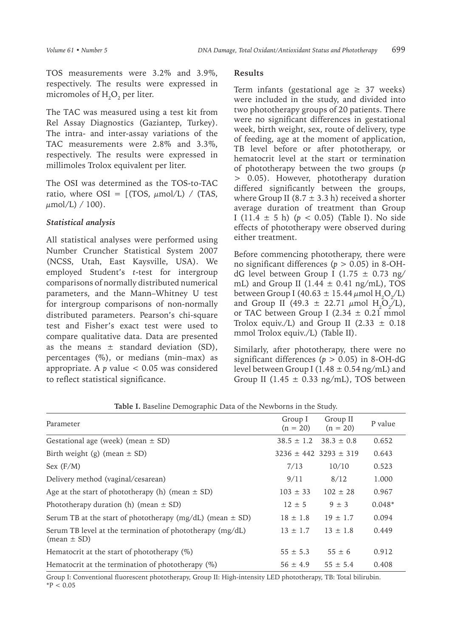TOS measurements were 3.2% and 3.9%, respectively. The results were expressed in micromoles of  $\mathrm{H}_{2}\mathrm{O}_{2}$  per liter.

The TAC was measured using a test kit from Rel Assay Diagnostics (Gaziantep, Turkey). The intra- and inter-assay variations of the TAC measurements were 2.8% and 3.3%, respectively. The results were expressed in millimoles Trolox equivalent per liter.

The OSI was determined as the TOS-to-TAC ratio, where OSI =  $[(TOS, \mu mol/L) / (TAS,$  $\mu$ mol/L) / 100).

### *Statistical analysis*

All statistical analyses were performed using Number Cruncher Statistical System 2007 (NCSS, Utah, East Kaysville, USA). We employed Student's *t*-test for intergroup comparisons of normally distributed numerical parameters, and the Mann–Whitney U test for intergroup comparisons of non-normally distributed parameters. Pearson's chi-square test and Fisher's exact test were used to compare qualitative data. Data are presented as the means  $\pm$  standard deviation (SD), percentages (%), or medians (min–max) as appropriate. A  $p$  value  $<$  0.05 was considered to reflect statistical significance.

#### **Results**

Term infants (gestational age  $\geq$  37 weeks) were included in the study, and divided into two phototherapy groups of 20 patients. There were no significant differences in gestational week, birth weight, sex, route of delivery, type of feeding, age at the moment of application, TB level before or after phototherapy, or hematocrit level at the start or termination of phototherapy between the two groups (*p* > 0.05). However, phototherapy duration differed significantly between the groups, where Group II (8.7  $\pm$  3.3 h) received a shorter average duration of treatment than Group I (11.4  $\pm$  5 h) ( $p$  < 0.05) (Table I). No side effects of phototherapy were observed during either treatment.

Before commencing phototherapy, there were no significant differences (*p* > 0.05) in 8-OHdG level between Group I (1.75  $\pm$  0.73 ng/ mL) and Group II (1.44  $\pm$  0.41 ng/mL), TOS between Group I (40.63  $\pm$  15.44  $\mu$ mol H<sub>2</sub>O<sub>2</sub>/L) and Group II (49.3  $\pm$  22.71  $\mu$ mol H<sub>2</sub>O<sub>2</sub>/L), or TAC between Group I (2.34  $\pm$  0.21 mmol Trolox equiv./L) and Group II (2.33  $\pm$  0.18 mmol Trolox equiv./L) (Table II).

Similarly, after phototherapy, there were no significant differences (*p* > 0.05) in 8-OH-dG level between Group I (1.48  $\pm$  0.54 ng/mL) and Group II (1.45  $\pm$  0.33 ng/mL), TOS between

| Parameter                                                                    | Group I<br>$(n = 20)$ | Group II<br>$(n = 20)$        | P value  |
|------------------------------------------------------------------------------|-----------------------|-------------------------------|----------|
| Gestational age (week) (mean $\pm$ SD)                                       | $38.5 \pm 1.2$        | $38.3 \pm 0.8$                | 0.652    |
| Birth weight (g) (mean $\pm$ SD)                                             |                       | $3236 \pm 442$ 3293 $\pm$ 319 | 0.643    |
| Sex (F/M)                                                                    | 7/13                  | 10/10                         | 0.523    |
| Delivery method (vaginal/cesarean)                                           | 9/11                  | 8/12                          | 1.000    |
| Age at the start of phototherapy (h) (mean $\pm$ SD)                         | $103 \pm 33$          | $102 \pm 28$                  | 0.967    |
| Phototherapy duration (h) (mean $\pm$ SD)                                    | $12 + 5$              | $9 \pm 3$                     | $0.048*$ |
| Serum TB at the start of phototherapy (mg/dL) (mean $\pm$ SD)                | $18 \pm 1.8$          | $19 \pm 1.7$                  | 0.094    |
| Serum TB level at the termination of phototherapy (mg/dL)<br>$(mean \pm SD)$ | $13 \pm 1.7$          | $13 \pm 1.8$                  | 0.449    |
| Hematocrit at the start of phototherapy $(\%)$                               | $55 \pm 5.3$          | $55 \pm 6$                    | 0.912    |
| Hematocrit at the termination of phototherapy $(\%)$                         | $56 \pm 4.9$          | $55 \pm 5.4$                  | 0.408    |

**Table I.** Baseline Demographic Data of the Newborns in the Study.

Group I: Conventional fluorescent phototherapy, Group II: High-intensity LED phototherapy, TB: Total bilirubin.  $*P < 0.05$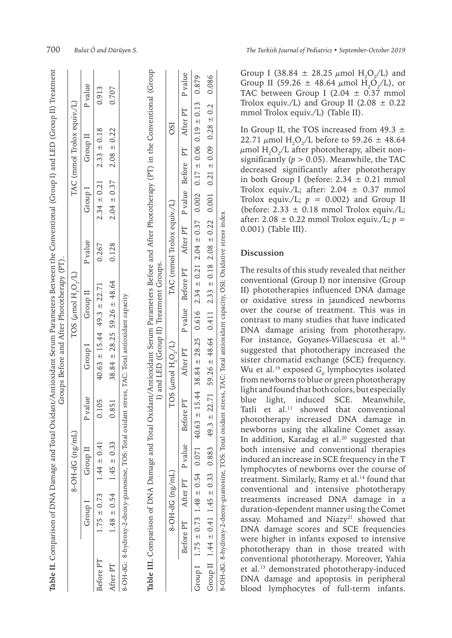|           | Table II. Comparison of DNA Damage and Total     |                                 |                   |                                                                                                                                                  | Oxidant/Antioxidant Serum Parameters Between the Conventional (Group I) and LED (Group II) Treatment<br>Groups Before and After Phototherapy (PT). |          |                         |                                                               |                 |                 |                            |         |
|-----------|--------------------------------------------------|---------------------------------|-------------------|--------------------------------------------------------------------------------------------------------------------------------------------------|----------------------------------------------------------------------------------------------------------------------------------------------------|----------|-------------------------|---------------------------------------------------------------|-----------------|-----------------|----------------------------|---------|
|           |                                                  |                                 | $(1m/gn)$ Db-HO-8 |                                                                                                                                                  |                                                                                                                                                    |          | TOS $(\mu$ mol H, O,/L) |                                                               |                 |                 | TAC (mmol Trolox equiv./L) |         |
|           |                                                  | Group I                         | Group II          | P value                                                                                                                                          | Group I                                                                                                                                            | Group II |                         | P value                                                       | Group I         | Group II        |                            | P value |
| Before PT |                                                  | $1.75 \pm 0.73$                 | $1.44 \pm 0.41$   | 0.105                                                                                                                                            | $40.63 \pm 15.44$ $49.3 \pm 22.71$                                                                                                                 |          |                         | 0.267                                                         | $2.34 \pm 0.21$ | $2.33 \pm 0.18$ |                            | 0.913   |
| After PT  |                                                  | $1.48 \pm 0.54$ $1.45 \pm 0.33$ |                   | 0.851                                                                                                                                            | $38.84 \pm 28.25$ 59.26 $\pm$ 48.64                                                                                                                |          |                         | 0.128                                                         | $2.04 \pm 0.37$ | $2.08 \pm 0.22$ |                            | 0.707   |
|           | 8-OH-dG: 8-hydroxy-2-deoxy-guanosine, TOS: Total |                                 |                   | Table III. Comparison of DNA Damage and Total Oxidant/Antioxidant Serum Parameters Before and After Phototherapy (PT) in the Conventional (Group | I) and LED (Group II) Treatment Groups.<br>oxidant stress, TAC: Total antioxidant capacity                                                         |          |                         |                                                               |                 |                 |                            |         |
|           |                                                  | $8-OH-dG$ (ng/mL)               |                   |                                                                                                                                                  | TOS $(\mu$ mol H, O,/L)                                                                                                                            |          |                         | TAC (mmol Trolox equiv./L)                                    |                 |                 | <b>OSI</b>                 |         |
|           |                                                  | Before PT After PT P value      |                   | Before PT                                                                                                                                        | After PT                                                                                                                                           |          |                         | P value Before PT After PT P value Before PT After PT P value |                 |                 |                            |         |
|           |                                                  |                                 |                   | Group I 75 ± 0.73 1.48 ± 0.54 0.071 40.63 ± 15.44 38.84 ± 28.25 0.616 2.34 ± 0.21 2.04 ± 0.37 0.002 0.17 ± 0.06 0.19 ± 0.13 0.879                |                                                                                                                                                    |          |                         |                                                               |                 |                 |                            |         |

Group I (38.84  $\pm$  28.25  $\mu$ mol H<sub>2</sub>O<sub>2</sub>/L) and Group II (59.26  $\pm$  48.64  $\mu$ mol H<sub>2</sub>O<sub>2</sub>/L), or TAC between Group I (2.04  $\pm$  0.37 mmol Trolox equiv./L) and Group II (2.08  $\pm$  0.22 mmol Trolox equiv./L) (Table II).

In Group II, the TOS increased from  $49.3 \pm$ 22.71  $\mu$ mol H<sub>2</sub>O<sub>2</sub>/L before to 59.26 ± 48.64  $\mu$ mol H $_{2}$ O $_{2}$ /L after phototherapy, albeit nonsignificantly ( $p > 0.05$ ). Meanwhile, the TAC decreased significantly after phototherapy in both Group I (before:  $2.34 \pm 0.21$  mmol Trolox equiv./L; after:  $2.04 \pm 0.37$  mmol Trolox equiv./L;  $p = 0.002$ ) and Group II (before:  $2.33 \pm 0.18$  mmol Trolox equiv./L; after: 2.08 ± 0.22 mmol Trolox equiv./L; *p* = 0.001) (Table III).

#### **Discussion**

Group II  $1.45 \pm 0.41$   $1.45 \pm 0.31$   $1.45 \pm 0.33$   $49.3 \pm 2.71$   $49.3 \pm 2.271$   $59.3 \pm 0.33$   $59.3 \pm 2.33$   $59.3 \pm 2.33$   $59.8 \pm 0.32$   $59.8 \pm 0.32$   $59.8 \pm 0.33$   $59.8 \pm 0.33$   $59.8 \pm 0.33$   $59.8 \pm 0.33$   $59.8 \pm 0.33$ 

64

48.  $+$ 

59.26

 $71$ 22.

 $\ddot{+}$ 

 $\tilde{\mathcal{C}}$ 49.

883

0.33

 $+$ 1.45

0.41

 $+1$ 

1.44

 $\Box$ 

Group I

capacity, OSI: Oxidative stress index

0.086

 $\mathbf{C}$  $\dot{\circ}$  $+1$ 

0.28

0.09

 $+1$ 

 $\overline{21}$ 

 $\ddot{\circ}$ 

0.001

0.22

 $+1$ 

2.08

0.18

 $+1$ 

 $33$ 

 $\sim$ 

0.411

8-OH-dG: 8-hydroxy-2-deoxy-guanosine, TOS: Total oxidant stress, TAC: Total antioxidant capacity, OSI: Oxidative stress index

oxidant stress,

Total

TOS:  $\dot{\circ}$ 

8-OH-dG: 8-hydroxy-2-deoxy-guanosine,

TAC:

Total antioxidant

The results of this study revealed that neither conventional (Group I) nor intensive (Group II) phototherapies influenced DNA damage or oxidative stress in jaundiced newborns over the course of treatment. This was in contrast to many studies that have indicated DNA damage arising from phototherapy. For instance, Goyanes-Villaescusa et al.<sup>18</sup> suggested that phototherapy increased the sister chromatid exchange (SCE) frequency. Wu et al.<sup>19</sup> exposed  $G$ <sub>0</sub> lymphocytes isolated from newborns to blue or green phototherapy light and found that both colors, but especially blue light, induced SCE. Meanwhile, Tatli et al. $11$  showed that conventional phototherapy increased DNA damage in newborns using the alkaline Comet assay. In addition, Karadag et al.<sup>20</sup> suggested that both intensive and conventional therapies induced an increase in SCE frequency in the T lymphocytes of newborns over the course of treatment. Similarly, Ramy et al.<sup>14</sup> found that conventional and intensive phototherapy treatments increased DNA damage in a duration-dependent manner using the Comet assay. Mohamed and Niazy<sup>21</sup> showed that DNA damage scores and SCE frequencies were higher in infants exposed to intensive phototherapy than in those treated with conventional phototherapy. Moreover, Yahia et al.<sup>13</sup> demonstrated phototherapy-induced DNA damage and apoptosis in peripheral blood lymphocytes of full-term infants.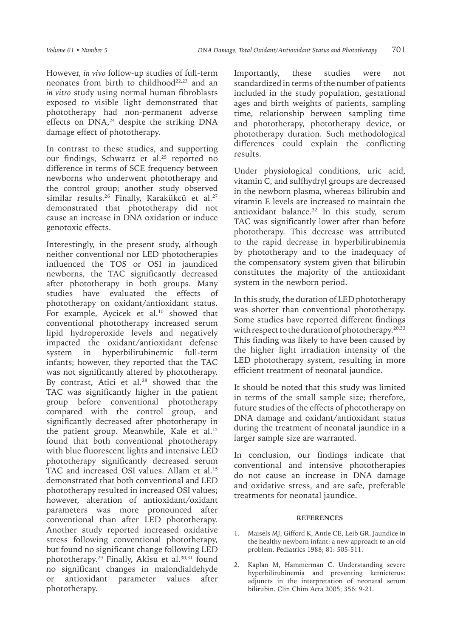However, *in vivo* follow-up studies of full-term neonates from birth to childhood<sup>22,23</sup> and an *in vitro* study using normal human fibroblasts exposed to visible light demonstrated that phototherapy had non-permanent adverse effects on DNA,<sup>24</sup> despite the striking DNA damage effect of phototherapy.

In contrast to these studies, and supporting our findings, Schwartz et al.<sup>25</sup> reported no difference in terms of SCE frequency between newborns who underwent phototherapy and the control group; another study observed similar results.<sup>26</sup> Finally, Karakükcü et al.<sup>27</sup> demonstrated that phototherapy did not cause an increase in DNA oxidation or induce genotoxic effects.

Interestingly, in the present study, although neither conventional nor LED phototherapies influenced the TOS or OSI in jaundiced newborns, the TAC significantly decreased after phototherapy in both groups. Many studies have evaluated the effects of phototherapy on oxidant/antioxidant status. For example, Aycicek et al.<sup>10</sup> showed that conventional phototherapy increased serum lipid hydroperoxide levels and negatively impacted the oxidant/antioxidant defense system in hyperbilirubinemic full-term infants; however, they reported that the TAC was not significantly altered by phototherapy. By contrast, Atici et al.<sup>28</sup> showed that the TAC was significantly higher in the patient group before conventional phototherapy compared with the control group, and significantly decreased after phototherapy in the patient group. Meanwhile, Kale et al. $12$ found that both conventional phototherapy with blue fluorescent lights and intensive LED phototherapy significantly decreased serum TAC and increased OSI values. Allam et al.<sup>15</sup> demonstrated that both conventional and LED phototherapy resulted in increased OSI values; however, alteration of antioxidant/oxidant parameters was more pronounced after conventional than after LED phototherapy. Another study reported increased oxidative stress following conventional phototherapy, but found no significant change following LED phototherapy.<sup>29</sup> Finally, Akisu et al.<sup>30,31</sup> found no significant changes in malondialdehyde or antioxidant parameter values after phototherapy.

Importantly, these studies were not standardized in terms of the number of patients included in the study population, gestational ages and birth weights of patients, sampling time, relationship between sampling time and phototherapy, phototherapy device, or phototherapy duration. Such methodological differences could explain the conflicting results.

Under physiological conditions, uric acid, vitamin C, and sulfhydryl groups are decreased in the newborn plasma, whereas bilirubin and vitamin E levels are increased to maintain the antioxidant balance. $32$  In this study, serum TAC was significantly lower after than before phototherapy. This decrease was attributed to the rapid decrease in hyperbilirubinemia by phototherapy and to the inadequacy of the compensatory system given that bilirubin constitutes the majority of the antioxidant system in the newborn period.

In this study, the duration of LED phototherapy was shorter than conventional phototherapy. Some studies have reported different findings with respect to the duration of phototherapy.<sup>20,33</sup> This finding was likely to have been caused by the higher light irradiation intensity of the LED phototherapy system, resulting in more efficient treatment of neonatal jaundice.

It should be noted that this study was limited in terms of the small sample size; therefore, future studies of the effects of phototherapy on DNA damage and oxidant/antioxidant status during the treatment of neonatal jaundice in a larger sample size are warranted.

In conclusion, our findings indicate that conventional and intensive phototherapies do not cause an increase in DNA damage and oxidative stress, and are safe, preferable treatments for neonatal jaundice.

#### **REFERENCES**

- 1. Maisels MJ, Gifford K, Antle CE, Leib GR. Jaundice in the healthy newborn infant: a new approach to an old problem. Pediatrics 1988; 81: 505-511.
- 2. Kaplan M, Hammerman C. Understanding severe hyperbilirubinemia and preventing kernicterus: adjuncts in the interpretation of neonatal serum bilirubin. Clin Chim Acta 2005; 356: 9-21.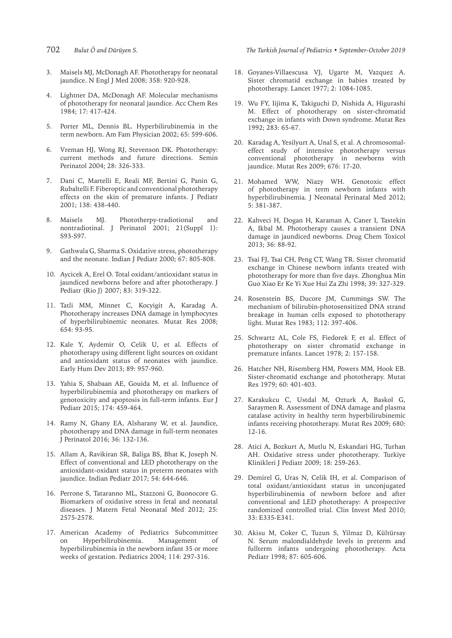- 
- 3. Maisels MJ, McDonagh AF. Phototherapy for neonatal jaundice. N Engl J Med 2008; 358: 920-928.
- 4. Lightner DA, McDonagh AF. Molecular mechanisms of phototherapy for neonatal jaundice. Acc Chem Res 1984; 17: 417-424.
- 5. Porter ML, Dennis BL. Hyperbilirubinemia in the term newborn. Am Fam Physician 2002; 65: 599-606.
- 6. Vreman HJ, Wong RJ, Stevenson DK. Phototherapy: current methods and future directions. Semin Perinatol 2004; 28: 326-333.
- 7. Dani C, Martelli E, Reali MF, Bertini G, Panin G, Rubaltelli F. Fiberoptic and conventional phototherapy effects on the skin of premature infants. J Pediatr 2001; 138: 438-440.
- 8. Maisels MJ. Phototherpy-tradiotional and nontradiotinal. J Perinatol 2001; 21(Suppl 1): S93-S97.
- 9. Gathwala G, Sharma S. Oxidative stress, phototherapy and the neonate. Indian J Pediatr 2000; 67: 805-808.
- 10. Aycicek A, Erel O. Total oxidant/antioxidant status in jaundiced newborns before and after phototherapy. J Pediatr (Rio J) 2007; 83: 319-322.
- 11. Tatli MM, Minnet C, Kocyigit A, Karadag A. Phototherapy increases DNA damage in lymphocytes of hyperbilirubinemic neonates. Mutat Res 2008; 654: 93-95.
- 12. Kale Y, Aydemir O, Celik U, et al. Effects of phototherapy using different light sources on oxidant and antioxidant status of neonates with jaundice. Early Hum Dev 2013; 89: 957-960.
- 13. Yahia S, Shabaan AE, Gouida M, et al. Influence of hyperbilirubinemia and phototherapy on markers of genotoxicity and apoptosis in full-term infants. Eur J Pediatr 2015; 174: 459-464.
- 14. Ramy N, Ghany EA, Alsharany W, et al. Jaundice, phototherapy and DNA damage in full-term neonates J Perinatol 2016; 36: 132-136.
- 15. Allam A, Ravikiran SR, Baliga BS, Bhat K, Joseph N. Effect of conventional and LED phototherapy on the antioxidant-oxidant status in preterm neonates with jaundice. Indian Pediatr 2017; 54: 644-646.
- 16. Perrone S, Tataranno ML, Stazzoni G, Buonocore G. Biomarkers of oxidative stress in fetal and neonatal diseases. J Matern Fetal Neonatal Med 2012; 25: 2575-2578.
- 17. American Academy of Pediatrics Subcommittee on Hyperbilirubinemia. Management of hyperbilirubinemia in the newborn infant 35 or more weeks of gestation. Pediatrics 2004; 114: 297-316.

#### 702 *Bulut Ö and Dürüyen S. The Turkish Journal of Pediatrics • September-October 2019*

- 18. Goyanes-Villaescusa VJ, Ugarte M, Vazquez A. Sister chromatid exchange in babies treated by phototherapy. Lancet 1977; 2: 1084-1085.
- 19. Wu FY, Iijima K, Takiguchi D, Nishida A, Higurashi M. Effect of phototherapy on sister-chromatid exchange in infants with Down syndrome. Mutat Res 1992; 283: 65-67.
- 20. Karadag A, Yesilyurt A, Unal S, et al. A chromosomaleffect study of intensive phototherapy versus conventional phototherapy in newborns with jaundice. Mutat Res 2009; 676: 17-20.
- 21. Mohamed WW, Niazy WH. Genotoxic effect of phototherapy in term newborn infants with hyperbilirubinemia. J Neonatal Perinatal Med 2012; 5: 381-387.
- 22. Kahveci H, Dogan H, Karaman A, Caner I, Tastekin A, Ikbal M. Phototherapy causes a transient DNA damage in jaundiced newborns. Drug Chem Toxicol 2013; 36: 88-92.
- 23. Tsai FJ, Tsai CH, Peng CT, Wang TR. Sister chromatid exchange in Chinese newborn infants treated with phototherapy for more than five days. Zhonghua Min Guo Xiao Er Ke Yi Xue Hui Za Zhi 1998; 39: 327-329.
- 24. Rosenstein BS, Ducore JM, Cummings SW. The mechanism of bilirubin-photosensitized DNA strand breakage in human cells exposed to phototherapy light. Mutat Res 1983; 112: 397-406.
- 25. Schwartz AL, Cole FS, Fiedorek F, et al. Effect of phototherapy on sister chromatid exchange in premature infants. Lancet 1978; 2: 157-158.
- 26. Hatcher NH, Risemberg HM, Powers MM, Hook EB. Sister-chromatid exchange and phototherapy. Mutat Res 1979; 60: 401-403.
- 27. Karakukcu C, Ustdal M, Ozturk A, Baskol G, Saraymen R. Assessment of DNA damage and plasma catalase activity in healthy term hyperbilirubinemic infants receiving phototherapy. Mutat Res 2009; 680: 12-16.
- 28. Atici A, Bozkurt A, Mutlu N, Eskandari HG, Turhan AH. Oxidative stress under phototherapy. Turkiye Klinikleri J Pediatr 2009; 18: 259-263.
- 29. Demirel G, Uras N, Celik IH, et al. Comparison of total oxidant/antioxidant status in unconjugated hyperbilirubinemia of newborn before and after conventional and LED phototherapy: A prospective randomized controlled trial. Clin Invest Med 2010; 33: E335-E341.
- 30. Akisu M, Coker C, Tuzun S, Yilmaz D, Kültürsay N. Serum malondialdehyde levels in preterm and fullterm infants undergoing phototherapy. Acta Pediatr 1998; 87: 605-606.